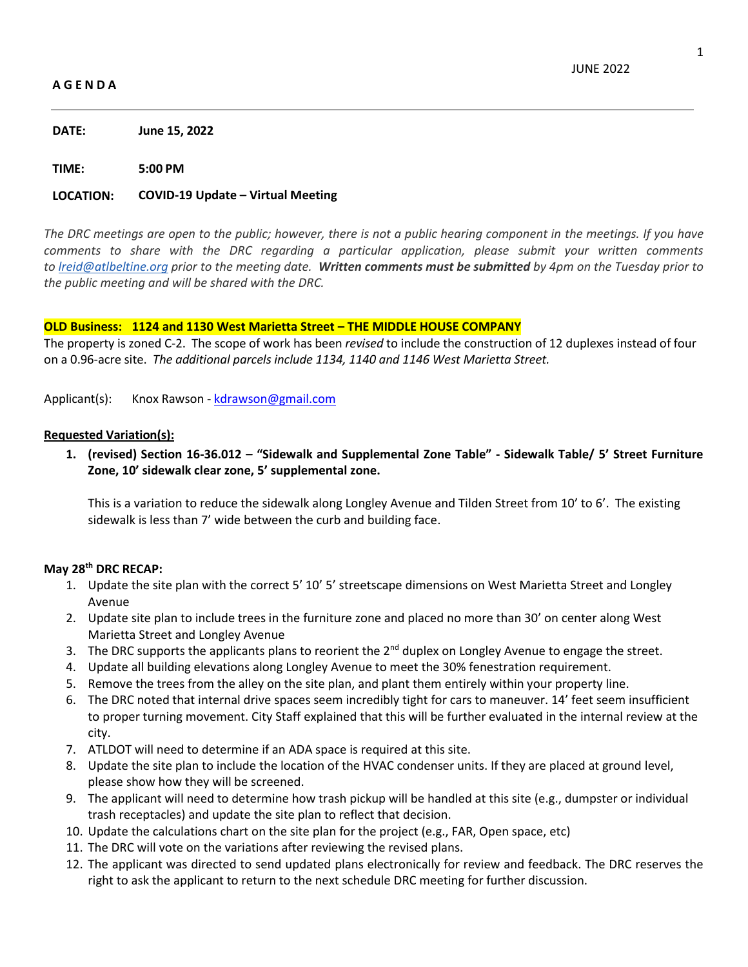## **A G E N D A**

**DATE: June 15, 2022**

**TIME: 5:00 PM**

## **LOCATION: COVID-19 Update – Virtual Meeting**

*The DRC meetings are open to the public; however, there is not a public hearing component in the meetings. If you have comments to share with the DRC regarding a particular application, please submit your written comments to [lreid@atlbeltine.org](mailto:lreid@atlbeltine.org) prior to the meeting date. Written comments must be submitted by 4pm on the Tuesday prior to the public meeting and will be shared with the DRC.*

#### **OLD Business: 1124 and 1130 West Marietta Street – THE MIDDLE HOUSE COMPANY**

The property is zoned C-2. The scope of work has been *revised* to include the construction of 12 duplexes instead of four on a 0.96-acre site. *The additional parcels include 1134, 1140 and 1146 West Marietta Street.*

Applicant(s): Knox Rawson - [kdrawson@gmail.com](mailto:kdrawson@gmail.com)

#### **Requested Variation(s):**

**1. (revised) Section 16-36.012 – "Sidewalk and Supplemental Zone Table" - Sidewalk Table/ 5' Street Furniture Zone, 10' sidewalk clear zone, 5' supplemental zone.**

This is a variation to reduce the sidewalk along Longley Avenue and Tilden Street from 10' to 6'. The existing sidewalk is less than 7' wide between the curb and building face.

## **May 28th DRC RECAP:**

- 1. Update the site plan with the correct 5' 10' 5' streetscape dimensions on West Marietta Street and Longley Avenue
- 2. Update site plan to include trees in the furniture zone and placed no more than 30' on center along West Marietta Street and Longley Avenue
- 3. The DRC supports the applicants plans to reorient the 2<sup>nd</sup> duplex on Longley Avenue to engage the street.
- 4. Update all building elevations along Longley Avenue to meet the 30% fenestration requirement.
- 5. Remove the trees from the alley on the site plan, and plant them entirely within your property line.
- 6. The DRC noted that internal drive spaces seem incredibly tight for cars to maneuver. 14' feet seem insufficient to proper turning movement. City Staff explained that this will be further evaluated in the internal review at the city.
- 7. ATLDOT will need to determine if an ADA space is required at this site.
- 8. Update the site plan to include the location of the HVAC condenser units. If they are placed at ground level, please show how they will be screened.
- 9. The applicant will need to determine how trash pickup will be handled at this site (e.g., dumpster or individual trash receptacles) and update the site plan to reflect that decision.
- 10. Update the calculations chart on the site plan for the project (e.g., FAR, Open space, etc)
- 11. The DRC will vote on the variations after reviewing the revised plans.
- 12. The applicant was directed to send updated plans electronically for review and feedback. The DRC reserves the right to ask the applicant to return to the next schedule DRC meeting for further discussion.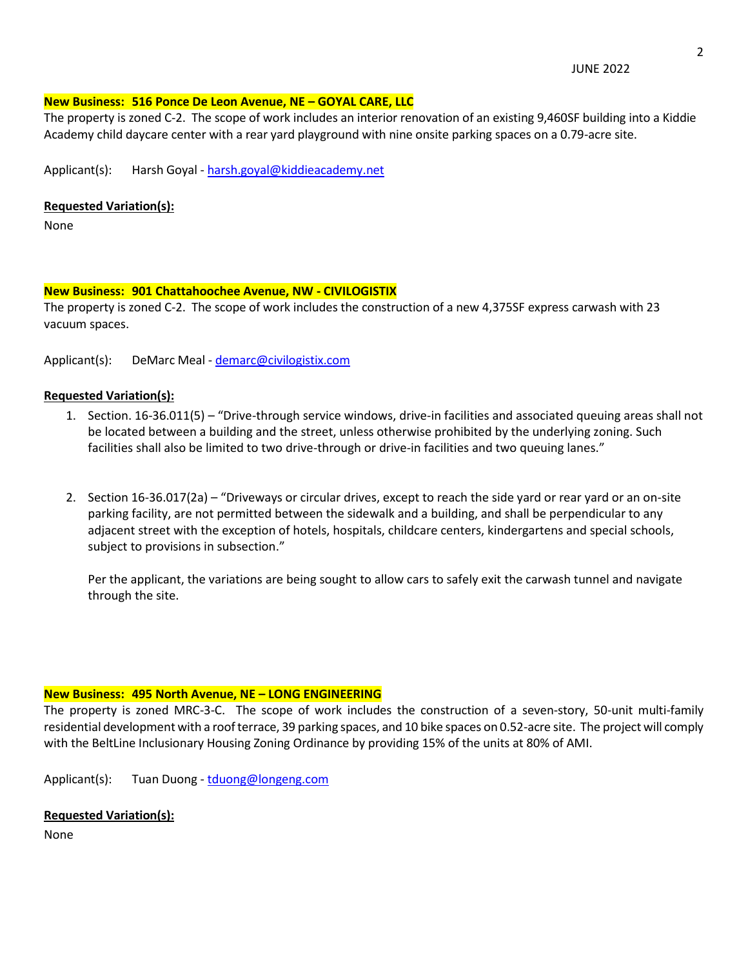JUNE 2022

# **New Business: 516 Ponce De Leon Avenue, NE – GOYAL CARE, LLC**

The property is zoned C-2. The scope of work includes an interior renovation of an existing 9,460SF building into a Kiddie Academy child daycare center with a rear yard playground with nine onsite parking spaces on a 0.79-acre site.

Applicant(s): Harsh Goyal - [harsh.goyal@kiddieacademy.net](mailto:harsh.goyal@kiddieacademy.net)

## **Requested Variation(s):**

None

## **New Business: 901 Chattahoochee Avenue, NW - CIVILOGISTIX**

The property is zoned C-2. The scope of work includes the construction of a new 4,375SF express carwash with 23 vacuum spaces.

Applicant(s): DeMarc Meal - [demarc@civilogistix.com](mailto:demarc@civilogistix.com) 

# **Requested Variation(s):**

- 1. Section. 16-36.011(5) "Drive-through service windows, drive-in facilities and associated queuing areas shall not be located between a building and the street, unless otherwise prohibited by the underlying zoning. Such facilities shall also be limited to two drive-through or drive-in facilities and two queuing lanes."
- 2. Section 16-36.017(2a) "Driveways or circular drives, except to reach the side yard or rear yard or an on-site parking facility, are not permitted between the sidewalk and a building, and shall be perpendicular to any adjacent street with the exception of hotels, hospitals, childcare centers, kindergartens and special schools, subject to provisions in subsection."

Per the applicant, the variations are being sought to allow cars to safely exit the carwash tunnel and navigate through the site.

## **New Business: 495 North Avenue, NE – LONG ENGINEERING**

The property is zoned MRC-3-C. The scope of work includes the construction of a seven-story, 50-unit multi-family residential development with a roof terrace, 39 parking spaces, and 10 bike spaces on 0.52-acre site. The project will comply with the BeltLine Inclusionary Housing Zoning Ordinance by providing 15% of the units at 80% of AMI.

Applicant(s): Tuan Duong - [tduong@longeng.com](mailto:tduong@longeng.com)

## **Requested Variation(s):**

None